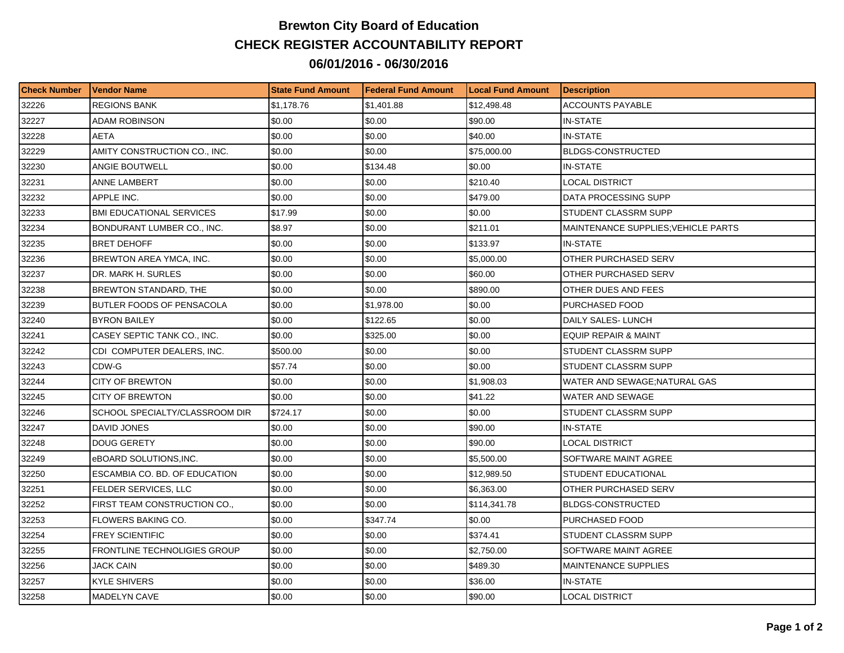## **Brewton City Board of Education CHECK REGISTER ACCOUNTABILITY REPORT 06/01/2016 - 06/30/2016**

| <b>Check Number</b> | <b>Vendor Name</b>               | <b>State Fund Amount</b> | l Federal Fund Amount | <b>Local Fund Amount</b> | <b>Description</b>                         |
|---------------------|----------------------------------|--------------------------|-----------------------|--------------------------|--------------------------------------------|
| 32226               | <b>REGIONS BANK</b>              | \$1,178.76               | \$1,401.88            | \$12,498.48              | <b>ACCOUNTS PAYABLE</b>                    |
| 32227               | ADAM ROBINSON                    | \$0.00                   | \$0.00                | \$90.00                  | <b>IN-STATE</b>                            |
| 32228               | AETA                             | \$0.00                   | \$0.00                | \$40.00                  | <b>IN-STATE</b>                            |
| 32229               | AMITY CONSTRUCTION CO., INC.     | \$0.00                   | \$0.00                | \$75,000.00              | <b>BLDGS-CONSTRUCTED</b>                   |
| 32230               | ANGIE BOUTWELL                   | \$0.00                   | \$134.48              | \$0.00                   | <b>IN-STATE</b>                            |
| 32231               | ANNE LAMBERT                     | \$0.00                   | \$0.00                | \$210.40                 | <b>LOCAL DISTRICT</b>                      |
| 32232               | APPLE INC.                       | \$0.00                   | \$0.00                | \$479.00                 | DATA PROCESSING SUPP                       |
| 32233               | <b>BMI EDUCATIONAL SERVICES</b>  | \$17.99                  | \$0.00                | \$0.00                   | STUDENT CLASSRM SUPP                       |
| 32234               | BONDURANT LUMBER CO., INC.       | \$8.97                   | \$0.00                | \$211.01                 | <b>MAINTENANCE SUPPLIES; VEHICLE PARTS</b> |
| 32235               | <b>BRET DEHOFF</b>               | \$0.00                   | \$0.00                | \$133.97                 | <b>IN-STATE</b>                            |
| 32236               | BREWTON AREA YMCA, INC.          | \$0.00                   | \$0.00                | \$5,000.00               | OTHER PURCHASED SERV                       |
| 32237               | DR. MARK H. SURLES               | \$0.00                   | \$0.00                | \$60.00                  | OTHER PURCHASED SERV                       |
| 32238               | BREWTON STANDARD, THE            | \$0.00                   | \$0.00                | \$890.00                 | OTHER DUES AND FEES                        |
| 32239               | <b>BUTLER FOODS OF PENSACOLA</b> | \$0.00                   | \$1,978.00            | \$0.00                   | PURCHASED FOOD                             |
| 32240               | <b>BYRON BAILEY</b>              | \$0.00                   | \$122.65              | \$0.00                   | DAILY SALES-LUNCH                          |
| 32241               | CASEY SEPTIC TANK CO., INC.      | \$0.00                   | \$325.00              | \$0.00                   | <b>EQUIP REPAIR &amp; MAINT</b>            |
| 32242               | CDI COMPUTER DEALERS, INC.       | \$500.00                 | \$0.00                | \$0.00                   | STUDENT CLASSRM SUPP                       |
| 32243               | CDW-G                            | \$57.74                  | \$0.00                | \$0.00                   | STUDENT CLASSRM SUPP                       |
| 32244               | <b>CITY OF BREWTON</b>           | \$0.00                   | \$0.00                | \$1,908.03               | WATER AND SEWAGE; NATURAL GAS              |
| 32245               | <b>CITY OF BREWTON</b>           | \$0.00                   | \$0.00                | \$41.22                  | WATER AND SEWAGE                           |
| 32246               | SCHOOL SPECIALTY/CLASSROOM DIR   | \$724.17                 | \$0.00                | \$0.00                   | STUDENT CLASSRM SUPP                       |
| 32247               | DAVID JONES                      | \$0.00                   | \$0.00                | \$90.00                  | <b>IN-STATE</b>                            |
| 32248               | <b>DOUG GERETY</b>               | \$0.00                   | \$0.00                | \$90.00                  | LOCAL DISTRICT                             |
| 32249               | eBOARD SOLUTIONS, INC.           | \$0.00                   | \$0.00                | \$5,500.00               | SOFTWARE MAINT AGREE                       |
| 32250               | ESCAMBIA CO. BD. OF EDUCATION    | \$0.00                   | \$0.00                | \$12,989.50              | <b>STUDENT EDUCATIONAL</b>                 |
| 32251               | FELDER SERVICES, LLC             | \$0.00                   | \$0.00                | \$6,363.00               | OTHER PURCHASED SERV                       |
| 32252               | FIRST TEAM CONSTRUCTION CO.,     | \$0.00                   | \$0.00                | \$114,341.78             | <b>BLDGS-CONSTRUCTED</b>                   |
| 32253               | FLOWERS BAKING CO.               | \$0.00                   | \$347.74              | \$0.00                   | PURCHASED FOOD                             |
| 32254               | <b>FREY SCIENTIFIC</b>           | \$0.00                   | \$0.00                | \$374.41                 | STUDENT CLASSRM SUPP                       |
| 32255               | FRONTLINE TECHNOLIGIES GROUP     | \$0.00                   | \$0.00                | \$2,750.00               | SOFTWARE MAINT AGREE                       |
| 32256               | <b>JACK CAIN</b>                 | \$0.00                   | \$0.00                | \$489.30                 | <b>MAINTENANCE SUPPLIES</b>                |
| 32257               | KYLE SHIVERS                     | \$0.00                   | \$0.00                | \$36.00                  | <b>IN-STATE</b>                            |
| 32258               | <b>MADELYN CAVE</b>              | \$0.00                   | \$0.00                | \$90.00                  | <b>LOCAL DISTRICT</b>                      |